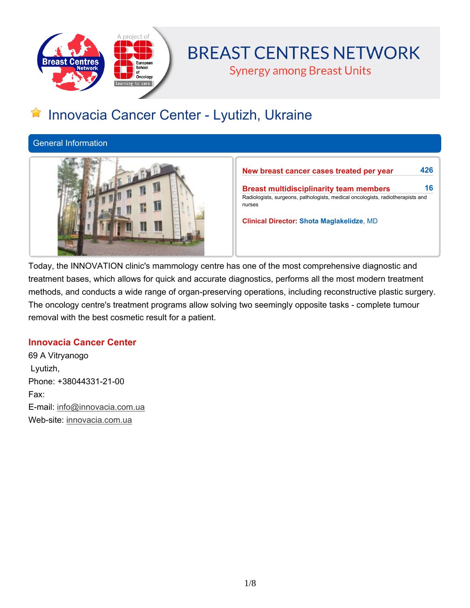

# **BREAST CENTRES NETWORK**

**Synergy among Breast Units** 

## **Innovacia Cancer Center - Lyutizh, Ukraine**

**General Information**



**New breast cancer cases treated per year 426**

**Breast multidisciplinarity team members 16 Radiologists, surgeons, pathologists, medical oncologists, radiotherapists and nurses**

**Clinical Director: Shota Maglakelidze, MD**

**Today, the INNOVATION clinic's mammology centre has one of the most comprehensive diagnostic and treatment bases, which allows for quick and accurate diagnostics, performs all the most modern treatment methods, and conducts a wide range of organ-preserving operations, including reconstructive plastic surgery. The oncology centre's treatment programs allow solving two seemingly opposite tasks - complete tumour removal with the best cosmetic result for a patient.**

## **Innovacia Cancer Center**

**69 A Vitryanogo Lyutizh, Phone: +38044331-21-00 Fax: E-mail: info@innovacia.com.ua Web-site: innovacia.com.ua**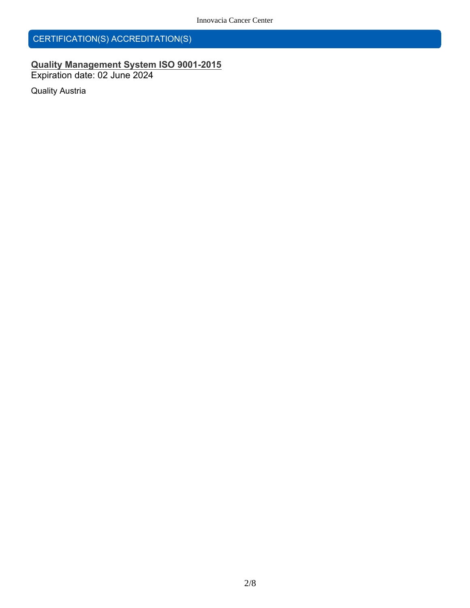## **CERTIFICATION(S) ACCREDITATION(S)**

## **Quality Management System ISO 9001-2015 Expiration date: 02 June 2024**

**Quality Austria**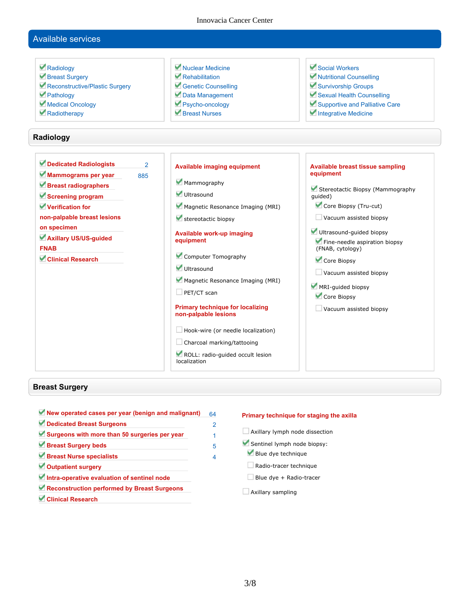## **Available services**

| Radiology<br>Breast Surgery<br>Reconstructive/Plastic Surgery<br>Pathology<br>Medical Oncology<br>Radiotherapy                                                                                                                   | Muclear Medicine<br>Rehabilitation<br>Genetic Counselling<br>Data Management<br>Psycho-oncology<br>Breast Nurses                                                                                                                                                                                                                                                                                                                                                                        | Social Workers<br>Mutritional Counselling<br>Survivorship Groups<br>Sexual Health Counselling<br>Supportive and Palliative Care<br>Integrative Medicine                                                                                                                                                                                        |
|----------------------------------------------------------------------------------------------------------------------------------------------------------------------------------------------------------------------------------|-----------------------------------------------------------------------------------------------------------------------------------------------------------------------------------------------------------------------------------------------------------------------------------------------------------------------------------------------------------------------------------------------------------------------------------------------------------------------------------------|------------------------------------------------------------------------------------------------------------------------------------------------------------------------------------------------------------------------------------------------------------------------------------------------------------------------------------------------|
| Radiology                                                                                                                                                                                                                        |                                                                                                                                                                                                                                                                                                                                                                                                                                                                                         |                                                                                                                                                                                                                                                                                                                                                |
| Dedicated Radiologists<br>Mammograms per year<br>885<br>Breast radiographers<br>Screening program<br>Verification for<br>non-palpable breast lesions<br>on specimen<br>Axillary US/US-guided<br><b>FNAB</b><br>Clinical Research | $\overline{2}$<br><b>Available imaging equipment</b><br>Mammography<br>Ultrasound<br>Magnetic Resonance Imaging (MRI)<br>stereotactic biopsy<br>Available work-up imaging<br>equipment<br>Computer Tomography<br>Ultrasound<br>Magnetic Resonance Imaging (MRI)<br>$\Box$ PET/CT scan<br><b>Primary technique for localizing</b><br>non-palpable lesions<br>$\Box$ Hook-wire (or needle localization)<br>Charcoal marking/tattooing<br>ROLL: radio-guided occult lesion<br>localization | <b>Available breast tissue sampling</b><br>equipment<br>Stereotactic Biopsy (Mammography<br>quided)<br>Core Biopsy (Tru-cut)<br>Vacuum assisted biopsy<br>Ultrasound-guided biopsy<br>Fine-needle aspiration biopsy<br>(FNAB, cytology)<br>Core Biopsy<br>Vacuum assisted biopsy<br>MRI-guided biopsy<br>Core Biopsy<br>Vacuum assisted biopsy |

## **Breast Surgery**

**New operated cases per year (benign and malignant) 64 Dedicated Breast Surgeons 2 Surgeons with more than 50 surgeries per year 1 Breast Surgery beds 5 Breast Nurse specialists 4 Outpatient surgery Intra-operative evaluation of sentinel node Reconstruction performed by Breast Surgeons Clinical Research**

#### **Primary technique for staging the axilla**

- **Axillary lymph node dissection Sentinel lymph node biopsy: Blue dye technique Radio-tracer technique Blue dye + Radio-tracer**
- **Axillary sampling**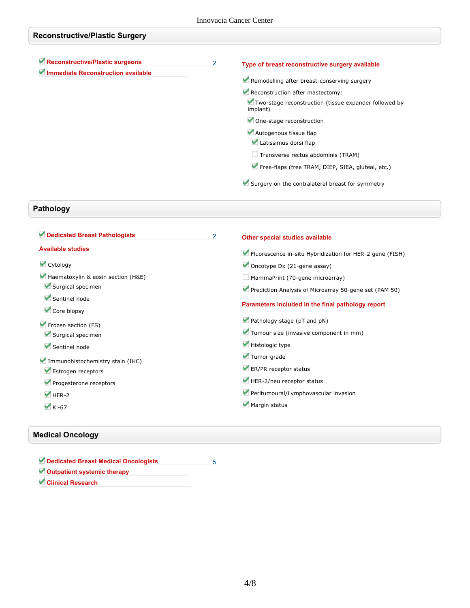| <b>Reconstructive/Plastic Surgery</b>                                 |                |                                                                                                                                                                                             |  |
|-----------------------------------------------------------------------|----------------|---------------------------------------------------------------------------------------------------------------------------------------------------------------------------------------------|--|
| Reconstructive/Plastic surgeons<br>Immediate Reconstruction available | $\overline{2}$ | Type of breast reconstructive surgery available<br>Remodelling after breast-conserving surgery<br>Reconstruction after mastectomy:<br>Two-stage reconstruction (tissue expander followed by |  |
|                                                                       |                | implant)<br>One-stage reconstruction<br>Autogenous tissue flap<br>Latissimus dorsi flap                                                                                                     |  |
|                                                                       |                | $\Box$ Transverse rectus abdominis (TRAM)<br>Free-flaps (free TRAM, DIEP, SIEA, gluteal, etc.)<br>Surgery on the contralateral breast for symmetry                                          |  |

## **Pathology**

| 2 | Other special studies available                          |
|---|----------------------------------------------------------|
|   | Fluorescence in-situ Hybridization for HER-2 gene (FISH) |
|   | Oncotype Dx $(21$ -gene assay)                           |
|   | MammaPrint (70-gene microarray)                          |
|   | Prediction Analysis of Microarray 50-gene set (PAM 50)   |
|   | Parameters included in the final pathology report        |
|   | Pathology stage (pT and pN)                              |
|   | Tumour size (invasive component in mm)                   |
|   | Histologic type                                          |
|   | Tumor grade                                              |
|   | ER/PR receptor status                                    |
|   | HER-2/neu receptor status                                |
|   | Peritumoural/Lymphovascular invasion                     |
|   | Margin status                                            |
|   |                                                          |

## **Medical Oncology**

| Dedicated Breast Medical Oncologists |  |
|--------------------------------------|--|
| Outpatient systemic therapy          |  |
| <b>Clinical Research</b>             |  |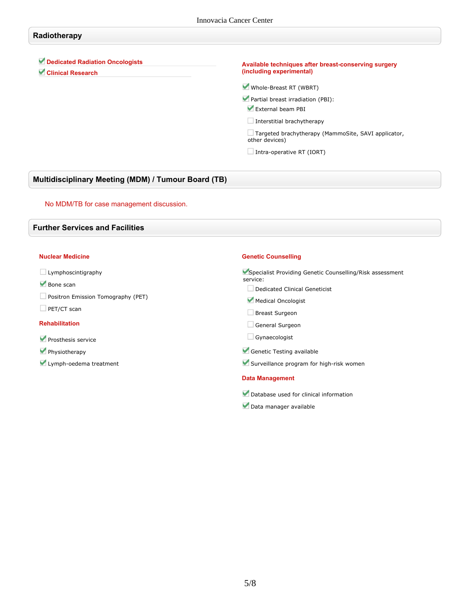## **Radiotherapy**

**Dedicated Radiation Oncologists**

**Clinical Research**

#### **Available techniques after breast-conserving surgery (including experimental)**

**Whole-Breast RT (WBRT)**

**Partial breast irradiation (PBI):**

**External beam PBI**

**Interstitial brachytherapy**

**Targeted brachytherapy (MammoSite, SAVI applicator, other devices)**

**Intra-operative RT (IORT)**

### **Multidisciplinary Meeting (MDM) / Tumour Board (TB)**

#### **No MDM/TB for case management discussion.**

#### **Further Services and Facilities**

#### **Nuclear Medicine**

**Lymphoscintigraphy**

- **Bone scan**
- **Positron Emission Tomography (PET)**
- **PET/CT scan**

#### **Rehabilitation**

- **Prosthesis service**
- **Physiotherapy**
- **Lymph-oedema treatment**

#### **Genetic Counselling**

**Specialist Providing Genetic Counselling/Risk assessment service:**

- **Dedicated Clinical Geneticist**
- **Medical Oncologist**
- **Breast Surgeon**
- **General Surgeon**
- **Gynaecologist**
- **Genetic Testing available**
- **Surveillance program for high-risk women**

#### **Data Management**

- **Database used for clinical information**
- **Data manager available**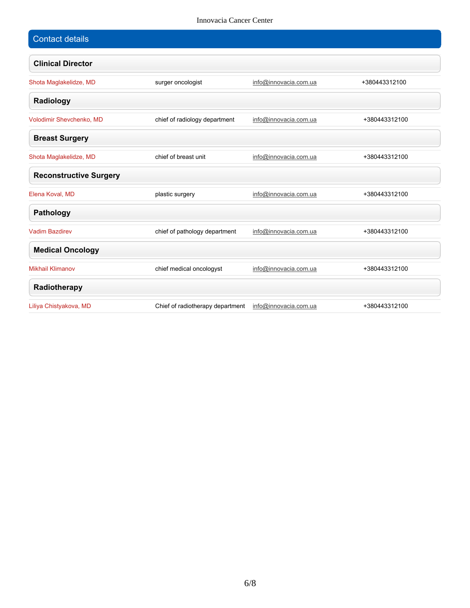| <b>Contact details</b>        |                                  |                       |               |
|-------------------------------|----------------------------------|-----------------------|---------------|
| <b>Clinical Director</b>      |                                  |                       |               |
| Shota Maglakelidze, MD        | surger oncologist                | info@innovacia.com.ua | +380443312100 |
| Radiology                     |                                  |                       |               |
| Volodimir Shevchenko, MD      | chief of radiology department    | info@innovacia.com.ua | +380443312100 |
| <b>Breast Surgery</b>         |                                  |                       |               |
| Shota Maglakelidze, MD        | chief of breast unit             | info@innovacia.com.ua | +380443312100 |
| <b>Reconstructive Surgery</b> |                                  |                       |               |
| Elena Koval, MD               | plastic surgery                  | info@innovacia.com.ua | +380443312100 |
| <b>Pathology</b>              |                                  |                       |               |
| <b>Vadim Bazdirev</b>         | chief of pathology department    | info@innovacia.com.ua | +380443312100 |
| <b>Medical Oncology</b>       |                                  |                       |               |
| <b>Mikhail Klimanov</b>       | chief medical oncologyst         | info@innovacia.com.ua | +380443312100 |
| Radiotherapy                  |                                  |                       |               |
| Liliya Chistyakova, MD        | Chief of radiotherapy department | info@innovacia.com.ua | +380443312100 |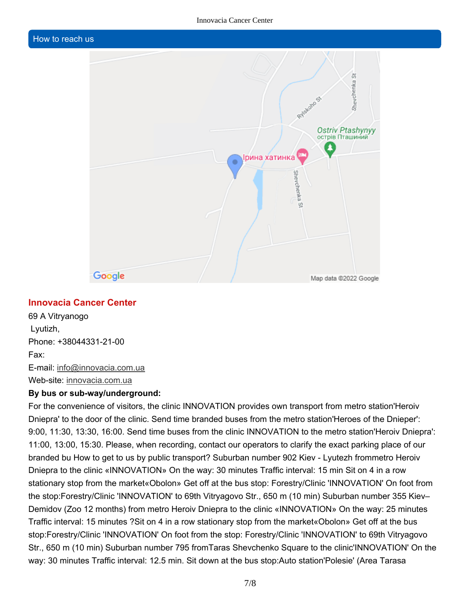## **How to reach us**



## **Innovacia Cancer Center**

**69 A Vitryanogo Lyutizh, Phone: +38044331-21-00 Fax: E-mail: info@innovacia.com.ua Web-site: innovacia.com.ua**

### **By bus or sub-way/underground:**

**For the convenience of visitors, the clinic INNOVATION provides own transport from metro station'Heroiv** Dniepra' to the door of the clinic. Send time branded buses from the metro station'Heroes of the Dnieper': **9:00, 11:30, 13:30, 16:00. Send time buses from the clinic INNOVATION to the metro station'Heroiv Dniepra':** 11:00, 13:00, 15:30. Please, when recording, contact our operators to clarify the exact parking place of our branded bu How to get to us by public transport? Suburban number 902 Kiev - Lyutezh frommetro Heroiv Dniepra to the clinic «INNOVATION» On the way: 30 minutes Traffic interval: 15 min Sit on 4 in a row **stationary stop from the market«Obolon» Get off at the bus stop: Forestry/Clinic 'INNOVATION' On foot from the stop:Forestry/Clinic 'INNOVATION' to 69th Vitryagovo Str., 650 m (10 min) Suburban number 355 Kiev– Demidov (Zoo 12 months) from metro Heroiv Dniepra to the clinic «INNOVATION» On the way: 25 minutes** Traffic interval: 15 minutes ? Sit on 4 in a row stationary stop from the market «Obolon» Get off at the bus **stop:Forestry/Clinic 'INNOVATION' On foot from the stop: Forestry/Clinic 'INNOVATION' to 69th Vitryagovo Str., 650 m (10 min) Suburban number 795 fromTaras Shevchenko Square to the clinic'INNOVATION' On the way: 30 minutes Traffic interval: 12.5 min. Sit down at the bus stop:Auto station'Polesie' (Area Tarasa**